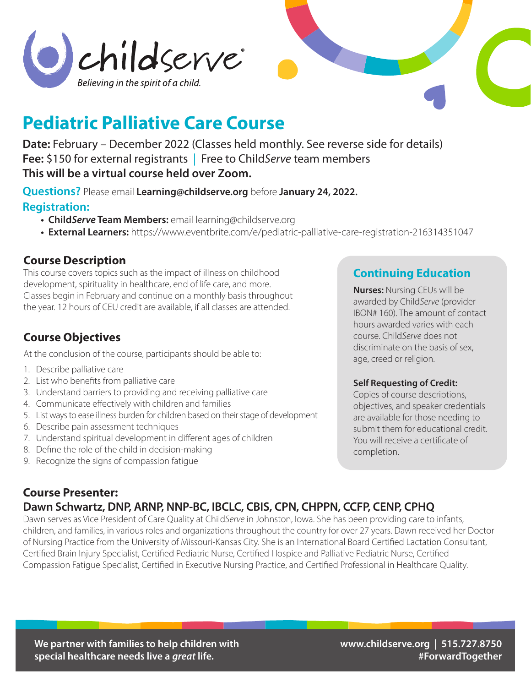



# **Pediatric Palliative Care Course**

**Date:** February – December 2022 (Classes held monthly. See reverse side for details) **Fee:** \$150 for external registrants | Free to Child*Serve* team members **This will be a virtual course held over Zoom.**

**Questions?** Please email **Learning@childserve.org** before **January 24, 2022.**

#### **Registration:**

- **Child***Serve* **Team Members:** email learning@childserve.org
- **External Learners:** https://www.eventbrite.com/e/pediatric-palliative-care-registration-216314351047

### **Course Description**

This course covers topics such as the impact of illness on childhood development, spirituality in healthcare, end of life care, and more. Classes begin in February and continue on a monthly basis throughout the year. 12 hours of CEU credit are available, if all classes are attended.

## **Course Objectives**

At the conclusion of the course, participants should be able to:

- 1. Describe palliative care
- 2. List who benefits from palliative care
- 3. Understand barriers to providing and receiving palliative care
- 4. Communicate effectively with children and families
- 5. List ways to ease illness burden for children based on their stage of development
- 6. Describe pain assessment techniques
- 7. Understand spiritual development in different ages of children
- 8. Define the role of the child in decision-making
- 9. Recognize the signs of compassion fatigue

### **Continuing Education**

**Nurses:** Nursing CEUs will be awarded by Child*Serve* (provider IBON# 160). The amount of contact hours awarded varies with each course. Child*Serve* does not discriminate on the basis of sex, age, creed or religion.

#### **Self Requesting of Credit:**

Copies of course descriptions, objectives, and speaker credentials are available for those needing to submit them for educational credit. You will receive a certificate of completion.

#### **Course Presenter: Dawn Schwartz, DNP, ARNP, NNP-BC, IBCLC, CBIS, CPN, CHPPN, CCFP, CENP, CPHQ**

Dawn serves as Vice President of Care Quality at Child*Serve* in Johnston, Iowa. She has been providing care to infants, children, and families, in various roles and organizations throughout the country for over 27 years. Dawn received her Doctor of Nursing Practice from the University of Missouri-Kansas City. She is an International Board Certified Lactation Consultant, Certified Brain Injury Specialist, Certified Pediatric Nurse, Certified Hospice and Palliative Pediatric Nurse, Certified Compassion Fatigue Specialist, Certified in Executive Nursing Practice, and Certified Professional in Healthcare Quality.